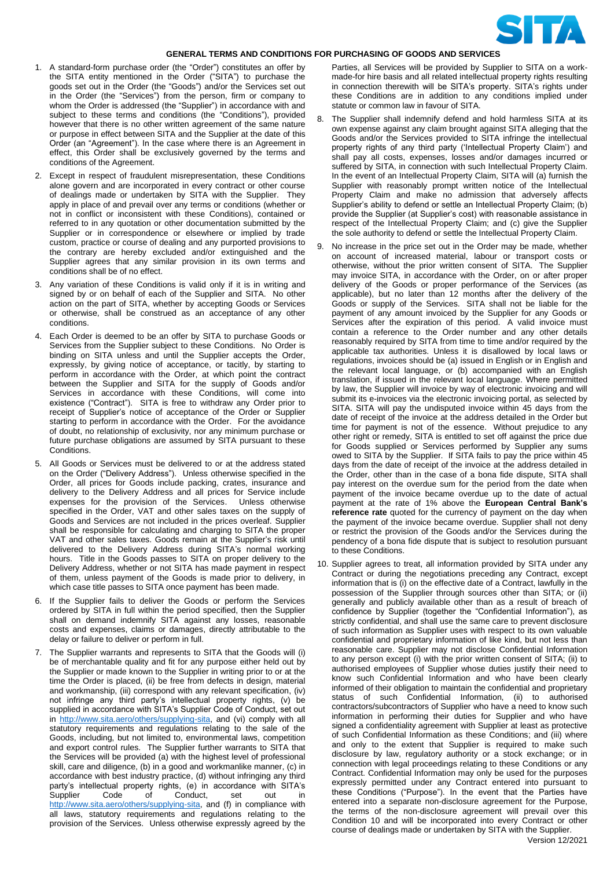

## **GENERAL TERMS AND CONDITIONS FOR PURCHASING OF GOODS AND SERVICES**

- 1. A standard-form purchase order (the "Order") constitutes an offer by the SITA entity mentioned in the Order ("SITA") to purchase the goods set out in the Order (the "Goods") and/or the Services set out in the Order (the "Services") from the person, firm or company to whom the Order is addressed (the "Supplier") in accordance with and subject to these terms and conditions (the "Conditions"), provided however that there is no other written agreement of the same nature or purpose in effect between SITA and the Supplier at the date of this Order (an "Agreement"). In the case where there is an Agreement in effect, this Order shall be exclusively governed by the terms and conditions of the Agreement.
- 2. Except in respect of fraudulent misrepresentation, these Conditions alone govern and are incorporated in every contract or other course of dealings made or undertaken by SITA with the Supplier. They apply in place of and prevail over any terms or conditions (whether or not in conflict or inconsistent with these Conditions), contained or referred to in any quotation or other documentation submitted by the Supplier or in correspondence or elsewhere or implied by trade custom, practice or course of dealing and any purported provisions to the contrary are hereby excluded and/or extinguished and the Supplier agrees that any similar provision in its own terms and conditions shall be of no effect.
- 3. Any variation of these Conditions is valid only if it is in writing and signed by or on behalf of each of the Supplier and SITA. No other action on the part of SITA, whether by accepting Goods or Services or otherwise, shall be construed as an acceptance of any other conditions.
- 4. Each Order is deemed to be an offer by SITA to purchase Goods or Services from the Supplier subject to these Conditions. No Order is binding on SITA unless and until the Supplier accepts the Order, expressly, by giving notice of acceptance, or tacitly, by starting to perform in accordance with the Order, at which point the contract between the Supplier and SITA for the supply of Goods and/or Services in accordance with these Conditions, will come into existence ("Contract"). SITA is free to withdraw any Order prior to receipt of Supplier's notice of acceptance of the Order or Supplier starting to perform in accordance with the Order. For the avoidance of doubt, no relationship of exclusivity, nor any minimum purchase or future purchase obligations are assumed by SITA pursuant to these Conditions.
- 5. All Goods or Services must be delivered to or at the address stated on the Order ("Delivery Address"). Unless otherwise specified in the Order, all prices for Goods include packing, crates, insurance and delivery to the Delivery Address and all prices for Service include expenses for the provision of the Services. Unless otherwise specified in the Order, VAT and other sales taxes on the supply of Goods and Services are not included in the prices overleaf. Supplier shall be responsible for calculating and charging to SITA the proper VAT and other sales taxes. Goods remain at the Supplier's risk until delivered to the Delivery Address during SITA's normal working hours. Title in the Goods passes to SITA on proper delivery to the Delivery Address, whether or not SITA has made payment in respect of them, unless payment of the Goods is made prior to delivery, in which case title passes to SITA once payment has been made.
- 6. If the Supplier fails to deliver the Goods or perform the Services ordered by SITA in full within the period specified, then the Supplier shall on demand indemnify SITA against any losses, reasonable costs and expenses, claims or damages, directly attributable to the delay or failure to deliver or perform in full.
- 7. The Supplier warrants and represents to SITA that the Goods will (i) be of merchantable quality and fit for any purpose either held out by the Supplier or made known to the Supplier in writing prior to or at the time the Order is placed, (ii) be free from defects in design, material and workmanship, (iii) correspond with any relevant specification, (iv) not infringe any third party's intellectual property rights, (v) be supplied in accordance with SITA's Supplier Code of Conduct, set out in [http://www.sita.aero/others/supplying-sita,](http://www.sita.aero/others/supplying-sita) and (vi) comply with all statutory requirements and regulations relating to the sale of the Goods, including, but not limited to, environmental laws, competition and export control rules. The Supplier further warrants to SITA that the Services will be provided (a) with the highest level of professional skill, care and diligence, (b) in a good and workmanlike manner, (c) in accordance with best industry practice, (d) without infringing any third party's intellectual property rights, (e) in accordance with SITA's Supplier Code of Conduct, set out in [http://www.sita.aero/others/supplying-sita,](http://www.sita.aero/others/supplying-sita) and (f) in compliance with all laws, statutory requirements and regulations relating to the provision of the Services. Unless otherwise expressly agreed by the

Parties, all Services will be provided by Supplier to SITA on a workmade-for hire basis and all related intellectual property rights resulting in connection therewith will be SITA's property. SITA's rights under these Conditions are in addition to any conditions implied under statute or common law in favour of SITA.

- 8. The Supplier shall indemnify defend and hold harmless SITA at its own expense against any claim brought against SITA alleging that the Goods and/or the Services provided to SITA infringe the intellectual property rights of any third party ('Intellectual Property Claim') and shall pay all costs, expenses, losses and/or damages incurred or suffered by SITA, in connection with such Intellectual Property Claim. In the event of an Intellectual Property Claim, SITA will (a) furnish the Supplier with reasonably prompt written notice of the Intellectual Property Claim and make no admission that adversely affects Supplier's ability to defend or settle an Intellectual Property Claim; (b) provide the Supplier (at Supplier's cost) with reasonable assistance in respect of the Intellectual Property Claim; and (c) give the Supplier the sole authority to defend or settle the Intellectual Property Claim.
- 9. No increase in the price set out in the Order may be made, whether on account of increased material, labour or transport costs or otherwise, without the prior written consent of SITA. The Supplier may invoice SITA, in accordance with the Order, on or after proper delivery of the Goods or proper performance of the Services (as applicable), but no later than 12 months after the delivery of the Goods or supply of the Services. SITA shall not be liable for the payment of any amount invoiced by the Supplier for any Goods or Services after the expiration of this period. A valid invoice must contain a reference to the Order number and any other details reasonably required by SITA from time to time and/or required by the applicable tax authorities. Unless it is disallowed by local laws or regulations, invoices should be (a) issued in English or in English and the relevant local language, or (b) accompanied with an English translation, if issued in the relevant local language. Where permitted by law, the Supplier will invoice by way of electronic invoicing and will submit its e-invoices via the electronic invoicing portal, as selected by SITA. SITA will pay the undisputed invoice within 45 days from the date of receipt of the invoice at the address detailed in the Order but time for payment is not of the essence. Without prejudice to any other right or remedy, SITA is entitled to set off against the price due for Goods supplied or Services performed by Supplier any sums owed to SITA by the Supplier. If SITA fails to pay the price within 45 days from the date of receipt of the invoice at the address detailed in the Order, other than in the case of a bona fide dispute, SITA shall pay interest on the overdue sum for the period from the date when payment of the invoice became overdue up to the date of actual payment at the rate of 1% above the **European Central Bank's reference rate** quoted for the currency of payment on the day when the payment of the invoice became overdue. Supplier shall not deny or restrict the provision of the Goods and/or the Services during the pendency of a bona fide dispute that is subject to resolution pursuant to these Conditions.
- 10. Supplier agrees to treat, all information provided by SITA under any Contract or during the negotiations preceding any Contract, except information that is (i) on the effective date of a Contract, lawfully in the possession of the Supplier through sources other than SITA; or (ii) generally and publicly available other than as a result of breach of confidence by Supplier (together the "Confidential Information"), as strictly confidential, and shall use the same care to prevent disclosure of such information as Supplier uses with respect to its own valuable confidential and proprietary information of like kind, but not less than reasonable care. Supplier may not disclose Confidential Information to any person except (i) with the prior written consent of SITA; (ii) to authorised employees of Supplier whose duties justify their need to know such Confidential Information and who have been clearly informed of their obligation to maintain the confidential and proprietary status of such Confidential Information, (ii) to authorised contractors/subcontractors of Supplier who have a need to know such information in performing their duties for Supplier and who have signed a confidentiality agreement with Supplier at least as protective of such Confidential Information as these Conditions; and (iii) where and only to the extent that Supplier is required to make such disclosure by law, regulatory authority or a stock exchange; or in connection with legal proceedings relating to these Conditions or any Contract. Confidential Information may only be used for the purposes expressly permitted under any Contract entered into pursuant to these Conditions ("Purpose"). In the event that the Parties have entered into a separate non-disclosure agreement for the Purpose, the terms of the non-disclosure agreement will prevail over this Condition 10 and will be incorporated into every Contract or other course of dealings made or undertaken by SITA with the Supplier.